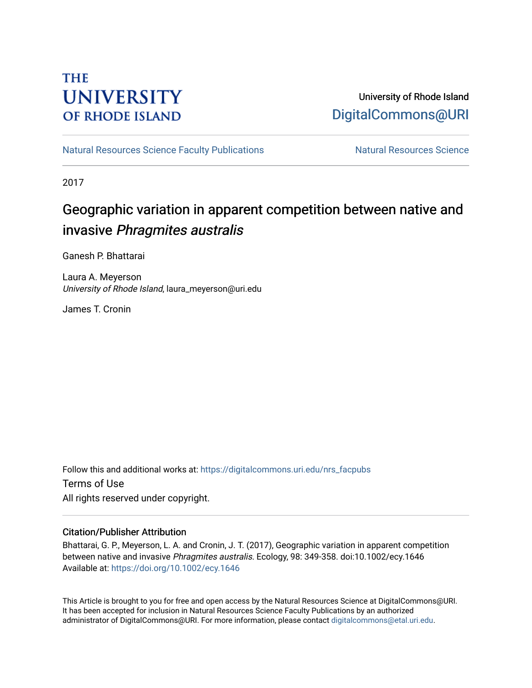# **THE UNIVERSITY OF RHODE ISLAND**

# University of Rhode Island [DigitalCommons@URI](https://digitalcommons.uri.edu/)

[Natural Resources Science Faculty Publications](https://digitalcommons.uri.edu/nrs_facpubs) Natural Resources Science

2017

# Geographic variation in apparent competition between native and invasive Phragmites australis

Ganesh P. Bhattarai

Laura A. Meyerson University of Rhode Island, laura\_meyerson@uri.edu

James T. Cronin

Follow this and additional works at: [https://digitalcommons.uri.edu/nrs\\_facpubs](https://digitalcommons.uri.edu/nrs_facpubs?utm_source=digitalcommons.uri.edu%2Fnrs_facpubs%2F113&utm_medium=PDF&utm_campaign=PDFCoverPages)  Terms of Use All rights reserved under copyright.

# Citation/Publisher Attribution

Bhattarai, G. P., Meyerson, L. A. and Cronin, J. T. (2017), Geographic variation in apparent competition between native and invasive Phragmites australis. Ecology, 98: 349-358. doi:10.1002/ecy.1646 Available at:<https://doi.org/10.1002/ecy.1646>

This Article is brought to you for free and open access by the Natural Resources Science at DigitalCommons@URI. It has been accepted for inclusion in Natural Resources Science Faculty Publications by an authorized administrator of DigitalCommons@URI. For more information, please contact [digitalcommons@etal.uri.edu.](mailto:digitalcommons@etal.uri.edu)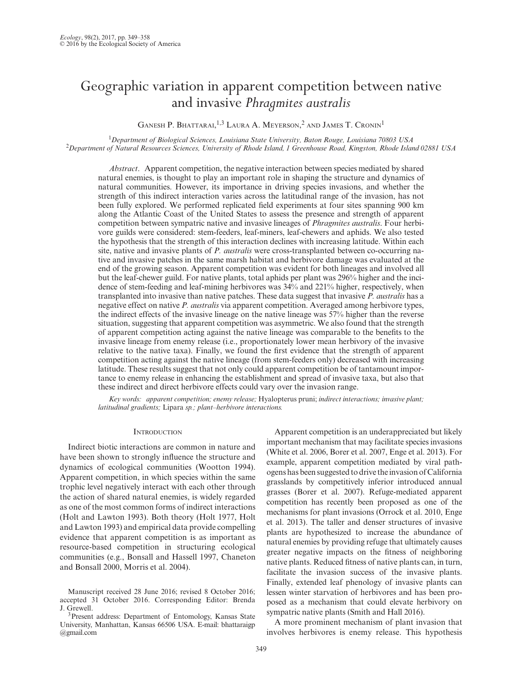# Geographic variation in apparent competition between native and invasive *Phragmites australis*

GANESH P. BHATTARAI,  $^{1,3}$  Laura A. Meyerson,  $^2$  and James T. Cronin<sup>1</sup>

<sup>1</sup>Department of Biological Sciences, Louisiana State University, Baton Rouge, Louisiana 70803 USA<br><sup>2</sup>Department of Natural Resources Sciences, University of Rhode Island, 1 Greenhouse Road, Kingston, Rhode Island 02881 US

*Abstract*. Apparent competition, the negative interaction between species mediated by shared natural enemies, is thought to play an important role in shaping the structure and dynamics of natural communities. However, its importance in driving species invasions, and whether the strength of this indirect interaction varies across the latitudinal range of the invasion, has not been fully explored. We performed replicated field experiments at four sites spanning 900 km along the Atlantic Coast of the United States to assess the presence and strength of apparent competition between sympatric native and invasive lineages of *Phragmites australis*. Four herbivore guilds were considered: stem-feeders, leaf-miners, leaf-chewers and aphids. We also tested the hypothesis that the strength of this interaction declines with increasing latitude. Within each site, native and invasive plants of *P. australis* were cross-transplanted between co-occurring native and invasive patches in the same marsh habitat and herbivore damage was evaluated at the end of the growing season. Apparent competition was evident for both lineages and involved all but the leaf-chewer guild. For native plants, total aphids per plant was 296% higher and the incidence of stem-feeding and leaf-mining herbivores was 34% and 221% higher, respectively, when transplanted into invasive than native patches. These data suggest that invasive *P. australis* has a negative effect on native *P. australis* via apparent competition. Averaged among herbivore types, the indirect effects of the invasive lineage on the native lineage was 57% higher than the reverse situation, suggesting that apparent competition was asymmetric. We also found that the strength of apparent competition acting against the native lineage was comparable to the benefits to the invasive lineage from enemy release (i.e., proportionately lower mean herbivory of the invasive relative to the native taxa). Finally, we found the first evidence that the strength of apparent competition acting against the native lineage (from stem-feeders only) decreased with increasing latitude. These results suggest that not only could apparent competition be of tantamount importance to enemy release in enhancing the establishment and spread of invasive taxa, but also that these indirect and direct herbivore effects could vary over the invasion range.

*Key words: apparent competition; enemy release;* Hyalopterus pruni; *indirect interactions; invasive plant; latitudinal gradients;* Lipara *sp.; plant–herbivore interactions.*

# **INTRODUCTION**

Indirect biotic interactions are common in nature and have been shown to strongly influence the structure and dynamics of ecological communities (Wootton 1994). Apparent competition, in which species within the same trophic level negatively interact with each other through the action of shared natural enemies, is widely regarded as one of the most common forms of indirect interactions (Holt and Lawton 1993). Both theory (Holt 1977, Holt and Lawton 1993) and empirical data provide compelling evidence that apparent competition is as important as resource-based competition in structuring ecological communities (e.g., Bonsall and Hassell 1997, Chaneton and Bonsall 2000, Morris et al. 2004).

Apparent competition is an underappreciated but likely important mechanism that may facilitate species invasions (White et al. 2006, Borer et al. 2007, Enge et al. 2013). For example, apparent competition mediated by viral pathogens has been suggested to drive the invasion of California grasslands by competitively inferior introduced annual grasses (Borer et al. 2007). Refuge-mediated apparent competition has recently been proposed as one of the mechanisms for plant invasions (Orrock et al. 2010, Enge et al. 2013). The taller and denser structures of invasive plants are hypothesized to increase the abundance of natural enemies by providing refuge that ultimately causes greater negative impacts on the fitness of neighboring native plants. Reduced fitness of native plants can, in turn, facilitate the invasion success of the invasive plants. Finally, extended leaf phenology of invasive plants can lessen winter starvation of herbivores and has been proposed as a mechanism that could elevate herbivory on sympatric native plants (Smith and Hall 2016).

A more prominent mechanism of plant invasion that involves herbivores is enemy release. This hypothesis

Manuscript received 28 June 2016; revised 8 October 2016; accepted 31 October 2016. Corresponding Editor: Brenda J. Grewell.

<sup>3</sup>Present address: Department of Entomology, Kansas State University, Manhattan, Kansas 66506 USA. E-mail: [bhattaraigp](mailto:­bhattaraigp
@gmail.com) [@gmail.com](mailto:­bhattaraigp
@gmail.com)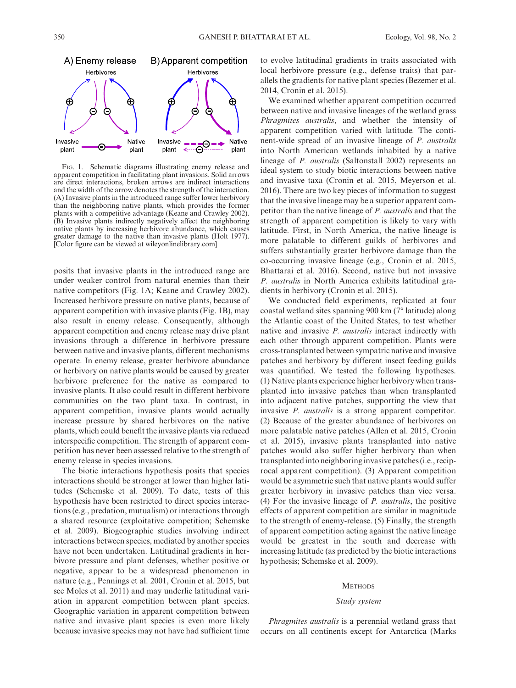

Fig. 1. Schematic diagrams illustrating enemy release and apparent competition in facilitating plant invasions. Solid arrows are direct interactions, broken arrows are indirect interactions and the width of the arrow denotes the strength of the interaction. (A) Invasive plants in the introduced range suffer lower herbivory than the neighboring native plants, which provides the former plants with a competitive advantage (Keane and Crawley 2002). (B) Invasive plants indirectly negatively affect the neighboring native plants by increasing herbivore abundance, which causes greater damage to the native than invasive plants (Holt 1977). [Color figure can be viewed at [wileyonlinelibrary.com\]](http://wileyonlinelibrary.com)

posits that invasive plants in the introduced range are under weaker control from natural enemies than their native competitors (Fig. 1A; Keane and Crawley 2002). Increased herbivore pressure on native plants, because of apparent competition with invasive plants (Fig. 1B), may also result in enemy release. Consequently, although apparent competition and enemy release may drive plant invasions through a difference in herbivore pressure between native and invasive plants, different mechanisms operate. In enemy release, greater herbivore abundance or herbivory on native plants would be caused by greater herbivore preference for the native as compared to invasive plants. It also could result in different herbivore communities on the two plant taxa. In contrast, in apparent competition, invasive plants would actually increase pressure by shared herbivores on the native plants, which could benefit the invasive plants via reduced interspecific competition. The strength of apparent competition has never been assessed relative to the strength of enemy release in species invasions.

The biotic interactions hypothesis posits that species interactions should be stronger at lower than higher latitudes (Schemske et al. 2009). To date, tests of this hypothesis have been restricted to direct species interactions (e.g., predation, mutualism) or interactions through a shared resource (exploitative competition; Schemske et al. 2009). Biogeographic studies involving indirect interactions between species, mediated by another species have not been undertaken. Latitudinal gradients in herbivore pressure and plant defenses, whether positive or negative, appear to be a widespread phenomenon in nature (e.g., Pennings et al. 2001, Cronin et al. 2015, but see Moles et al. 2011) and may underlie latitudinal variation in apparent competition between plant species. Geographic variation in apparent competition between native and invasive plant species is even more likely because invasive species may not have had sufficient time to evolve latitudinal gradients in traits associated with local herbivore pressure (e.g., defense traits) that parallels the gradients for native plant species (Bezemer et al. 2014, Cronin et al. 2015).

We examined whether apparent competition occurred between native and invasive lineages of the wetland grass *Phragmites australis*, and whether the intensity of apparent competition varied with latitude*.* The continent-wide spread of an invasive lineage of *P. australis* into North American wetlands inhabited by a native lineage of *P. australis* (Saltonstall 2002) represents an ideal system to study biotic interactions between native and invasive taxa (Cronin et al. 2015, Meyerson et al. 2016). There are two key pieces of information to suggest that the invasive lineage may be a superior apparent competitor than the native lineage of *P. australis* and that the strength of apparent competition is likely to vary with latitude. First, in North America, the native lineage is more palatable to different guilds of herbivores and suffers substantially greater herbivore damage than the co-occurring invasive lineage (e.g., Cronin et al. 2015, Bhattarai et al. 2016). Second, native but not invasive *P. australis* in North America exhibits latitudinal gradients in herbivory (Cronin et al. 2015).

We conducted field experiments, replicated at four coastal wetland sites spanning 900 km (7° latitude) along the Atlantic coast of the United States, to test whether native and invasive *P. australis* interact indirectly with each other through apparent competition. Plants were cross-transplanted between sympatric native and invasive patches and herbivory by different insect feeding guilds was quantified. We tested the following hypotheses. (1) Native plants experience higher herbivory when transplanted into invasive patches than when transplanted into adjacent native patches, supporting the view that invasive *P. australis* is a strong apparent competitor. (2) Because of the greater abundance of herbivores on more palatable native patches (Allen et al. 2015, Cronin et al. 2015), invasive plants transplanted into native patches would also suffer higher herbivory than when transplanted into neighboring invasive patches (i.e., reciprocal apparent competition). (3) Apparent competition would be asymmetric such that native plants would suffer greater herbivory in invasive patches than vice versa. (4) For the invasive lineage of *P. australis*, the positive effects of apparent competition are similar in magnitude to the strength of enemy-release. (5) Finally, the strength of apparent competition acting against the native lineage would be greatest in the south and decrease with increasing latitude (as predicted by the biotic interactions hypothesis; Schemske et al. 2009).

## **METHODS**

# *Study system*

*Phragmites australis* is a perennial wetland grass that occurs on all continents except for Antarctica (Marks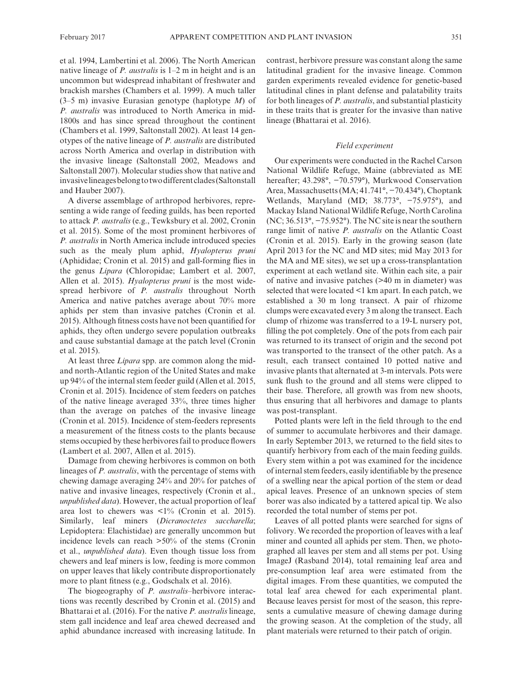et al. 1994, Lambertini et al. 2006). The North American native lineage of *P. australis* is 1–2 m in height and is an uncommon but widespread inhabitant of freshwater and brackish marshes (Chambers et al. 1999). A much taller (3–5 m) invasive Eurasian genotype (haplotype *M*) of *P. australis* was introduced to North America in mid-1800s and has since spread throughout the continent (Chambers et al. 1999, Saltonstall 2002). At least 14 genotypes of the native lineage of *P. australis* are distributed across North America and overlap in distribution with the invasive lineage (Saltonstall 2002, Meadows and Saltonstall 2007). Molecular studies show that native and invasive lineages belong to two different clades (Saltonstall and Hauber 2007).

A diverse assemblage of arthropod herbivores, representing a wide range of feeding guilds, has been reported to attack *P. australis* (e.g., Tewksbury et al. 2002, Cronin et al. 2015). Some of the most prominent herbivores of *P. australis* in North America include introduced species such as the mealy plum aphid, *Hyalopterus pruni* (Aphididae; Cronin et al. 2015) and gall-forming flies in the genus *Lipara* (Chloropidae; Lambert et al. 2007, Allen et al. 2015). *Hyalopterus pruni* is the most widespread herbivore of *P. australis* throughout North America and native patches average about 70% more aphids per stem than invasive patches (Cronin et al. 2015). Although fitness costs have not been quantified for aphids, they often undergo severe population outbreaks and cause substantial damage at the patch level (Cronin et al. 2015).

At least three *Lipara* spp. are common along the midand north-Atlantic region of the United States and make up 94% of the internal stem feeder guild (Allen et al. 2015, Cronin et al. 2015). Incidence of stem feeders on patches of the native lineage averaged 33%, three times higher than the average on patches of the invasive lineage (Cronin et al. 2015). Incidence of stem-feeders represents a measurement of the fitness costs to the plants because stems occupied by these herbivores fail to produce flowers (Lambert et al. 2007, Allen et al. 2015).

Damage from chewing herbivores is common on both lineages of *P. australis*, with the percentage of stems with chewing damage averaging 24% and 20% for patches of native and invasive lineages, respectively (Cronin et al., *unpublished data*). However, the actual proportion of leaf area lost to chewers was  $\langle 1\%$  (Cronin et al. 2015). Similarly, leaf miners (*Dicranoctetes saccharella*; Lepidoptera: Elachistidae) are generally uncommon but incidence levels can reach >50% of the stems (Cronin et al., *unpublished data*). Even though tissue loss from chewers and leaf miners is low, feeding is more common on upper leaves that likely contribute disproportionately more to plant fitness (e.g., Godschalx et al. 2016).

The biogeography of *P. australis*–herbivore interactions was recently described by Cronin et al. (2015) and Bhattarai et al. (2016). For the native *P. australis* lineage, stem gall incidence and leaf area chewed decreased and aphid abundance increased with increasing latitude. In contrast, herbivore pressure was constant along the same latitudinal gradient for the invasive lineage. Common garden experiments revealed evidence for genetic-based latitudinal clines in plant defense and palatability traits for both lineages of *P. australis*, and substantial plasticity in these traits that is greater for the invasive than native lineage (Bhattarai et al. 2016).

# *Field experiment*

Our experiments were conducted in the Rachel Carson National Wildlife Refuge, Maine (abbreviated as ME hereafter; 43.298°, −70.579°), Murkwood Conservation Area, Massachusetts (MA; 41.741°, −70.434°), Choptank Wetlands, Maryland (MD; 38.773°, −75.975°), and Mackay Island National Wildlife Refuge, North Carolina (NC; 36.513°, −75.952°). The NC site is near the southern range limit of native *P. australis* on the Atlantic Coast (Cronin et al. 2015). Early in the growing season (late April 2013 for the NC and MD sites; mid May 2013 for the MA and ME sites), we set up a cross-transplantation experiment at each wetland site. Within each site, a pair of native and invasive patches (>40 m in diameter) was selected that were located <1 km apart. In each patch, we established a 30 m long transect. A pair of rhizome clumps were excavated every 3 m along the transect. Each clump of rhizome was transferred to a 19-L nursery pot, filling the pot completely. One of the pots from each pair was returned to its transect of origin and the second pot was transported to the transect of the other patch. As a result, each transect contained 10 potted native and invasive plants that alternated at 3-m intervals. Pots were sunk flush to the ground and all stems were clipped to their base. Therefore, all growth was from new shoots, thus ensuring that all herbivores and damage to plants was post-transplant.

Potted plants were left in the field through to the end of summer to accumulate herbivores and their damage. In early September 2013, we returned to the field sites to quantify herbivory from each of the main feeding guilds. Every stem within a pot was examined for the incidence of internal stem feeders, easily identifiable by the presence of a swelling near the apical portion of the stem or dead apical leaves. Presence of an unknown species of stem borer was also indicated by a tattered apical tip. We also recorded the total number of stems per pot.

Leaves of all potted plants were searched for signs of folivory. We recorded the proportion of leaves with a leaf miner and counted all aphids per stem. Then, we photographed all leaves per stem and all stems per pot. Using ImageJ (Rasband 2014), total remaining leaf area and pre-consumption leaf area were estimated from the digital images. From these quantities, we computed the total leaf area chewed for each experimental plant. Because leaves persist for most of the season, this represents a cumulative measure of chewing damage during the growing season. At the completion of the study, all plant materials were returned to their patch of origin.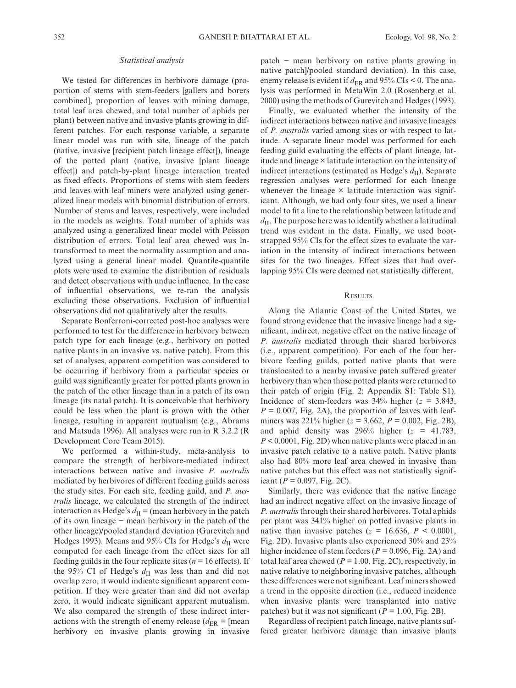## *Statistical analysis*

We tested for differences in herbivore damage (proportion of stems with stem-feeders [gallers and borers combined], proportion of leaves with mining damage, total leaf area chewed, and total number of aphids per plant) between native and invasive plants growing in different patches. For each response variable, a separate linear model was run with site, lineage of the patch (native, invasive [recipient patch lineage effect]), lineage of the potted plant (native, invasive [plant lineage effect]) and patch-by-plant lineage interaction treated as fixed effects. Proportions of stems with stem feeders and leaves with leaf miners were analyzed using generalized linear models with binomial distribution of errors. Number of stems and leaves, respectively, were included in the models as weights. Total number of aphids was analyzed using a generalized linear model with Poisson distribution of errors. Total leaf area chewed was lntransformed to meet the normality assumption and analyzed using a general linear model. Quantile-quantile plots were used to examine the distribution of residuals and detect observations with undue influence. In the case of influential observations, we re-ran the analysis excluding those observations. Exclusion of influential observations did not qualitatively alter the results.

Separate Bonferroni-corrected post-hoc analyses were performed to test for the difference in herbivory between patch type for each lineage (e.g., herbivory on potted native plants in an invasive vs. native patch). From this set of analyses, apparent competition was considered to be occurring if herbivory from a particular species or guild was significantly greater for potted plants grown in the patch of the other lineage than in a patch of its own lineage (its natal patch). It is conceivable that herbivory could be less when the plant is grown with the other lineage, resulting in apparent mutualism (e.g., Abrams and Matsuda 1996). All analyses were run in R 3.2.2 (R Development Core Team 2015).

We performed a within-study, meta-analysis to compare the strength of herbivore-mediated indirect interactions between native and invasive *P. australis* mediated by herbivores of different feeding guilds across the study sites. For each site, feeding guild, and *P. australis* lineage, we calculated the strength of the indirect interaction as Hedge's  $d_{\text{II}}$  = (mean herbivory in the patch of its own lineage − mean herbivory in the patch of the other lineage)/pooled standard deviation (Gurevitch and Hedges 1993). Means and 95% CIs for Hedge's  $d<sub>H</sub>$  were computed for each lineage from the effect sizes for all feeding guilds in the four replicate sites ( $n = 16$  effects). If the 95% CI of Hedge's  $d_{\text{II}}$  was less than and did not overlap zero, it would indicate significant apparent competition. If they were greater than and did not overlap zero, it would indicate significant apparent mutualism. We also compared the strength of these indirect interactions with the strength of enemy release  $(d_{ER} = \text{[mean]})$ herbivory on invasive plants growing in invasive

patch − mean herbivory on native plants growing in native patch]/pooled standard deviation). In this case, enemy release is evident if  $d_{ER}$  and 95% CIs < 0. The analysis was performed in MetaWin 2.0 (Rosenberg et al. 2000) using the methods of Gurevitch and Hedges (1993).

Finally, we evaluated whether the intensity of the indirect interactions between native and invasive lineages of *P. australis* varied among sites or with respect to latitude. A separate linear model was performed for each feeding guild evaluating the effects of plant lineage, latitude and lineage × latitude interaction on the intensity of indirect interactions (estimated as Hedge's  $d_{\text{II}}$ ). Separate regression analyses were performed for each lineage whenever the lineage  $\times$  latitude interaction was significant. Although, we had only four sites, we used a linear model to fit a line to the relationship between latitude and  $d<sub>II</sub>$ . The purpose here was to identify whether a latitudinal trend was evident in the data. Finally, we used bootstrapped 95% CIs for the effect sizes to evaluate the variation in the intensity of indirect interactions between sites for the two lineages. Effect sizes that had overlapping 95% CIs were deemed not statistically different.

## **RESULTS**

Along the Atlantic Coast of the United States, we found strong evidence that the invasive lineage had a significant, indirect, negative effect on the native lineage of *P. australis* mediated through their shared herbivores (i.e., apparent competition). For each of the four herbivore feeding guilds, potted native plants that were translocated to a nearby invasive patch suffered greater herbivory than when those potted plants were returned to their patch of origin (Fig. 2; Appendix S1: Table S1). Incidence of stem-feeders was  $34\%$  higher ( $z = 3.843$ ,  $P = 0.007$ , Fig. 2A), the proportion of leaves with leafminers was 221% higher (*z* = 3.662, *P* = 0.002, Fig. 2B), and aphid density was  $296\%$  higher ( $z = 41.783$ , *P* < 0.0001, Fig. 2D) when native plants were placed in an invasive patch relative to a native patch. Native plants also had 80% more leaf area chewed in invasive than native patches but this effect was not statistically significant ( $P = 0.097$ , Fig. 2C).

Similarly, there was evidence that the native lineage had an indirect negative effect on the invasive lineage of *P. australis* through their shared herbivores. Total aphids per plant was 341% higher on potted invasive plants in native than invasive patches ( $z = 16.636$ ,  $P < 0.0001$ , Fig. 2D). Invasive plants also experienced 30% and 23% higher incidence of stem feeders ( $P = 0.096$ , Fig. 2A) and total leaf area chewed ( $P = 1.00$ , Fig. 2C), respectively, in native relative to neighboring invasive patches, although these differences were not significant. Leaf miners showed a trend in the opposite direction (i.e., reduced incidence when invasive plants were transplanted into native patches) but it was not significant ( $P = 1.00$ , Fig. 2B).

Regardless of recipient patch lineage, native plants suffered greater herbivore damage than invasive plants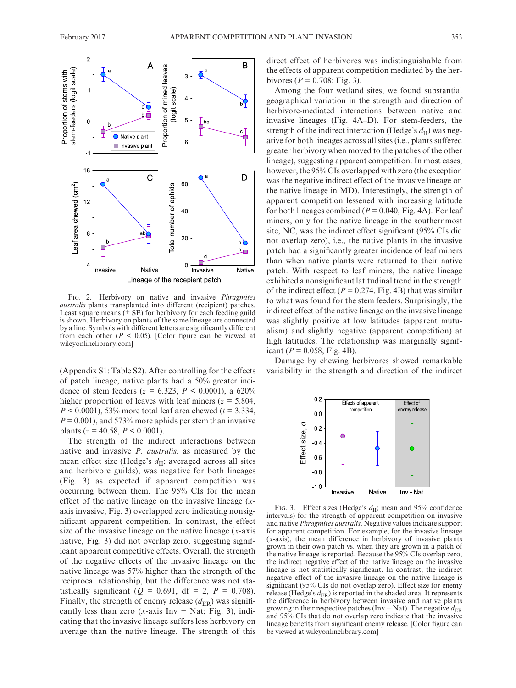

Fig. 2. Herbivory on native and invasive *Phragmites australis* plants transplanted into different (recipient) patches. Least square means  $(\pm \text{ SE})$  for herbivory for each feeding guild is shown. Herbivory on plants of the same lineage are connected by a line. Symbols with different letters are significantly different from each other  $(P \le 0.05)$ . [Color figure can be viewed at wileyonlinelibrary.com]

(Appendix S1: Table S2). After controlling for the effects of patch lineage, native plants had a 50% greater incidence of stem feeders ( $z = 6.323$ ,  $P < 0.0001$ ), a 620% higher proportion of leaves with leaf miners ( $z = 5.804$ , *P* < 0.0001), 53% more total leaf area chewed (*t* = 3.334,  $P = 0.001$ , and 573% more aphids per stem than invasive plants ( $z = 40.58$ ,  $P < 0.0001$ ).

The strength of the indirect interactions between native and invasive *P. australis*, as measured by the mean effect size (Hedge's  $d_{\text{II}}$ ; averaged across all sites and herbivore guilds), was negative for both lineages (Fig. 3) as expected if apparent competition was occurring between them. The 95% CIs for the mean effect of the native lineage on the invasive lineage (*x*axis invasive, Fig. 3) overlapped zero indicating nonsignificant apparent competition. In contrast, the effect size of the invasive lineage on the native lineage (*x*-axis native, Fig. 3) did not overlap zero, suggesting significant apparent competitive effects. Overall, the strength of the negative effects of the invasive lineage on the native lineage was 57% higher than the strength of the reciprocal relationship, but the difference was not statistically significant ( $Q = 0.691$ , df = 2,  $P = 0.708$ ). Finally, the strength of enemy release  $(d_{ER})$  was significantly less than zero ( $x$ -axis Inv – Nat; Fig. 3), indicating that the invasive lineage suffers less herbivory on average than the native lineage. The strength of this direct effect of herbivores was indistinguishable from the effects of apparent competition mediated by the herbivores ( $P = 0.708$ ; Fig. 3).

Among the four wetland sites, we found substantial geographical variation in the strength and direction of herbivore-mediated interactions between native and invasive lineages (Fig. 4A–D). For stem-feeders, the strength of the indirect interaction (Hedge's  $d_{\text{II}}$ ) was negative for both lineages across all sites (i.e., plants suffered greater herbivory when moved to the patches of the other lineage), suggesting apparent competition. In most cases, however, the 95% CIs overlapped with zero (the exception was the negative indirect effect of the invasive lineage on the native lineage in MD). Interestingly, the strength of apparent competition lessened with increasing latitude for both lineages combined ( $P = 0.040$ , Fig. 4A). For leaf miners, only for the native lineage in the southernmost site, NC, was the indirect effect significant (95% CIs did not overlap zero), i.e., the native plants in the invasive patch had a significantly greater incidence of leaf miners than when native plants were returned to their native patch. With respect to leaf miners, the native lineage exhibited a nonsignificant latitudinal trend in the strength of the indirect effect ( $P = 0.274$ , Fig. 4B) that was similar to what was found for the stem feeders. Surprisingly, the indirect effect of the native lineage on the invasive lineage was slightly positive at low latitudes (apparent mutualism) and slightly negative (apparent competition) at high latitudes. The relationship was marginally significant ( $P = 0.058$ , Fig. 4B).

Damage by chewing herbivores showed remarkable variability in the strength and direction of the indirect



Fig. 3. Effect sizes (Hedge's  $d_{\text{II}}$ ; mean and 95% confidence intervals) for the strength of apparent competition on invasive and native *Phragmites australis*. Negative values indicate support for apparent competition. For example, for the invasive lineage (*x*-axis), the mean difference in herbivory of invasive plants grown in their own patch vs. when they are grown in a patch of the native lineage is reported. Because the 95% CIs overlap zero, the indirect negative effect of the native lineage on the invasive lineage is not statistically significant. In contrast, the indirect negative effect of the invasive lineage on the native lineage is significant (95% CIs do not overlap zero). Effect size for enemy release (Hedge's  $d_{\text{ER}}$ ) is reported in the shaded area. It represents the difference in herbivory between invasive and native plants growing in their respective patches (Inv – Nat). The negative  $d_{\text{ER}}$ and 95% CIs that do not overlap zero indicate that the invasive lineage benefits from significant enemy release. [Color figure can **a**<br> **b**  $\frac{1}{20}$   $\frac{1}{20}$   $\frac{1}{20}$   $\frac{1}{20}$   $\frac{1}{20}$   $\frac{1}{20}$   $\frac{1}{20}$   $\frac{1}{20}$   $\frac{1}{20}$   $\frac{1}{20}$   $\frac{1}{20}$   $\frac{1}{20}$   $\frac{1}{20}$   $\frac{1}{20}$   $\frac{1}{20}$   $\frac{1}{20}$   $\frac{1}{20}$   $\frac{1}{20}$   $\frac{1}{20}$   $\frac$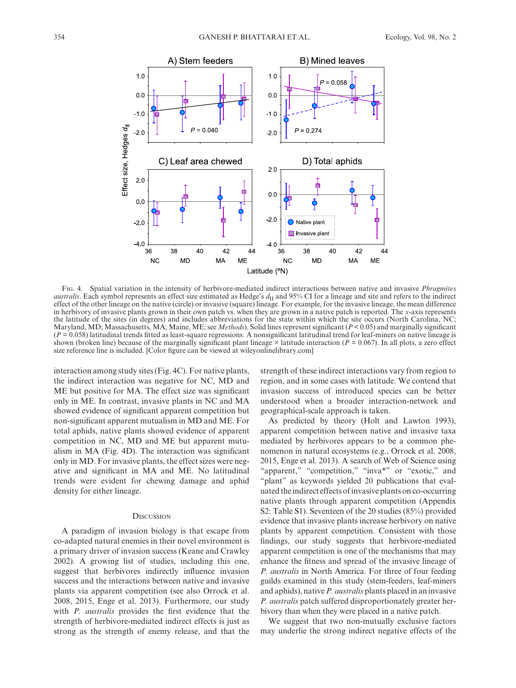

Fig. 4. Spatial variation in the intensity of herbivore-mediated indirect interactions between native and invasive *Phragmites australis*. Each symbol represents an effect size estimated as Hedge's  $d<sub>II</sub>$  and 95% CI for a lineage and site and refers to the indirect effect of the other lineage on the native (circle) or invasive (square) lineage. For example, for the invasive lineage, the mean difference in herbivory of invasive plants grown in their own patch vs. when they are grown in a native patch is reported. The *x*-axis represents the latitude of the sites (in degrees) and includes abbreviations for the state within which the site occurs (North Carolina, NC; Maryland, MD; Massachusetts, MA; Maine, ME; see *Methods*). Solid lines represent significant (*P* < 0.05) and marginally significant  $(P = 0.058)$  latitudinal trends fitted as least-square regressions. A nonsignificant latitudinal trend for leaf-miners on native lineage is shown (broken line) because of the marginally significant plant lineage  $\times$  latitude interaction ( $P = 0.067$ ). In all plots, a zero effect size reference line is included. [Color figure can be viewed at [wileyonlinelibrary.com\]](http://wileyonlinelibrary.com)

interaction among study sites (Fig. 4C). For native plants, the indirect interaction was negative for NC, MD and ME but positive for MA. The effect size was significant only in ME. In contrast, invasive plants in NC and MA showed evidence of significant apparent competition but non-significant apparent mutualism in MD and ME. For total aphids, native plants showed evidence of apparent competition in NC, MD and ME but apparent mutualism in MA (Fig. 4D). The interaction was significant only in MD. For invasive plants, the effect sizes were negative and significant in MA and ME. No latitudinal trends were evident for chewing damage and aphid density for either lineage.

# **DISCUSSION**

A paradigm of invasion biology is that escape from co-adapted natural enemies in their novel environment is a primary driver of invasion success (Keane and Crawley 2002). A growing list of studies, including this one, suggest that herbivores indirectly influence invasion success and the interactions between native and invasive plants via apparent competition (see also Orrock et al. 2008, 2015, Enge et al. 2013). Furthermore, our study with *P. australis* provides the first evidence that the strength of herbivore-mediated indirect effects is just as strong as the strength of enemy release, and that the

strength of these indirect interactions vary from region to region, and in some cases with latitude. We contend that invasion success of introduced species can be better understood when a broader interaction-network and geographical-scale approach is taken.

As predicted by theory (Holt and Lawton 1993), apparent competition between native and invasive taxa mediated by herbivores appears to be a common phenomenon in natural ecosystems (e.g., Orrock et al. 2008, 2015, Enge et al. 2013). A search of Web of Science using "apparent," "competition," "inva\*" or "exotic," and "plant" as keywords yielded 20 publications that evaluated the indirect effects of invasive plants on co-occurring native plants through apparent competition (Appendix S2: Table S1). Seventeen of the 20 studies (85%) provided evidence that invasive plants increase herbivory on native plants by apparent competition. Consistent with those findings, our study suggests that herbivore-mediated apparent competition is one of the mechanisms that may enhance the fitness and spread of the invasive lineage of *P. australis* in North America. For three of four feeding guilds examined in this study (stem-feeders, leaf-miners and aphids), native *P. australis* plants placed in an invasive *P. australis* patch suffered disproportionately greater herbivory than when they were placed in a native patch.

We suggest that two non-mutually exclusive factors may underlie the strong indirect negative effects of the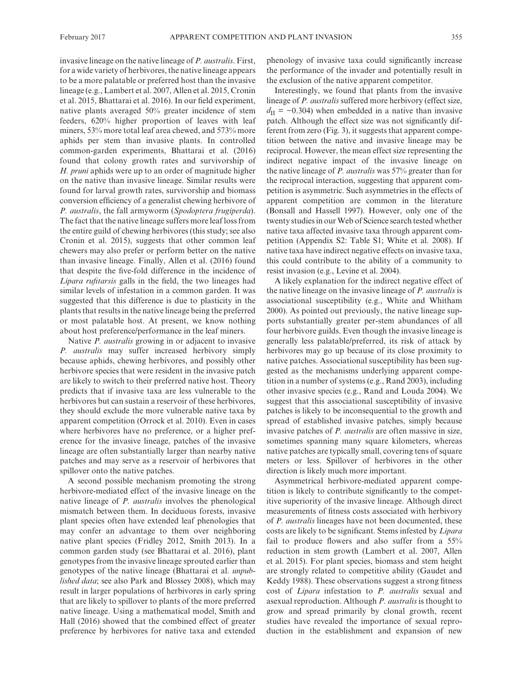invasive lineage on the native lineage of *P. australis*. First, for a wide variety of herbivores, the native lineage appears to be a more palatable or preferred host than the invasive lineage (e.g., Lambert et al. 2007, Allen et al. 2015, Cronin et al. 2015, Bhattarai et al. 2016). In our field experiment, native plants averaged 50% greater incidence of stem feeders, 620% higher proportion of leaves with leaf miners, 53% more total leaf area chewed, and 573% more aphids per stem than invasive plants. In controlled common-garden experiments, Bhattarai et al. (2016) found that colony growth rates and survivorship of *H. pruni* aphids were up to an order of magnitude higher on the native than invasive lineage. Similar results were found for larval growth rates, survivorship and biomass conversion efficiency of a generalist chewing herbivore of *P. australis*, the fall armyworm (*Spodoptera frugiperda*). The fact that the native lineage suffers more leaf loss from the entire guild of chewing herbivores (this study; see also Cronin et al. 2015), suggests that other common leaf chewers may also prefer or perform better on the native than invasive lineage. Finally, Allen et al. (2016) found that despite the five-fold difference in the incidence of *Lipara rufitarsis* galls in the field, the two lineages had similar levels of infestation in a common garden. It was suggested that this difference is due to plasticity in the plants that results in the native lineage being the preferred or most palatable host. At present, we know nothing about host preference/performance in the leaf miners.

Native *P. australis* growing in or adjacent to invasive *P. australis* may suffer increased herbivory simply because aphids, chewing herbivores, and possibly other herbivore species that were resident in the invasive patch are likely to switch to their preferred native host. Theory predicts that if invasive taxa are less vulnerable to the herbivores but can sustain a reservoir of these herbivores, they should exclude the more vulnerable native taxa by apparent competition (Orrock et al. 2010). Even in cases where herbivores have no preference, or a higher preference for the invasive lineage, patches of the invasive lineage are often substantially larger than nearby native patches and may serve as a reservoir of herbivores that spillover onto the native patches.

A second possible mechanism promoting the strong herbivore-mediated effect of the invasive lineage on the native lineage of *P. australis* involves the phenological mismatch between them. In deciduous forests, invasive plant species often have extended leaf phenologies that may confer an advantage to them over neighboring native plant species (Fridley 2012, Smith 2013). In a common garden study (see Bhattarai et al. 2016), plant genotypes from the invasive lineage sprouted earlier than genotypes of the native lineage (Bhattarai et al. *unpublished data*; see also Park and Blossey 2008), which may result in larger populations of herbivores in early spring that are likely to spillover to plants of the more preferred native lineage. Using a mathematical model, Smith and Hall (2016) showed that the combined effect of greater preference by herbivores for native taxa and extended phenology of invasive taxa could significantly increase the performance of the invader and potentially result in the exclusion of the native apparent competitor.

Interestingly, we found that plants from the invasive lineage of *P. australis* suffered more herbivory (effect size,  $d_{\text{II}}$  = −0.304) when embedded in a native than invasive patch. Although the effect size was not significantly different from zero (Fig. 3), it suggests that apparent competition between the native and invasive lineage may be reciprocal. However, the mean effect size representing the indirect negative impact of the invasive lineage on the native lineage of *P. australis* was 57% greater than for the reciprocal interaction, suggesting that apparent competition is asymmetric. Such asymmetries in the effects of apparent competition are common in the literature (Bonsall and Hassell 1997). However, only one of the twenty studies in our Web of Science search tested whether native taxa affected invasive taxa through apparent competition (Appendix S2: Table S1; White et al. 2008). If native taxa have indirect negative effects on invasive taxa, this could contribute to the ability of a community to resist invasion (e.g., Levine et al. 2004).

A likely explanation for the indirect negative effect of the native lineage on the invasive lineage of *P. australis* is associational susceptibility (e.g., White and Whitham 2000). As pointed out previously, the native lineage supports substantially greater per-stem abundances of all four herbivore guilds. Even though the invasive lineage is generally less palatable/preferred, its risk of attack by herbivores may go up because of its close proximity to native patches. Associational susceptibility has been suggested as the mechanisms underlying apparent competition in a number of systems (e.g., Rand 2003), including other invasive species (e.g., Rand and Louda 2004). We suggest that this associational susceptibility of invasive patches is likely to be inconsequential to the growth and spread of established invasive patches, simply because invasive patches of *P. australis* are often massive in size, sometimes spanning many square kilometers, whereas native patches are typically small, covering tens of square meters or less. Spillover of herbivores in the other direction is likely much more important.

Asymmetrical herbivore-mediated apparent competition is likely to contribute significantly to the competitive superiority of the invasive lineage. Although direct measurements of fitness costs associated with herbivory of *P. australis* lineages have not been documented, these costs are likely to be significant. Stems infested by *Lipara* fail to produce flowers and also suffer from a 55% reduction in stem growth (Lambert et al. 2007, Allen et al. 2015). For plant species, biomass and stem height are strongly related to competitive ability (Gaudet and Keddy 1988). These observations suggest a strong fitness cost of *Lipara* infestation to *P. australis* sexual and asexual reproduction. Although *P. australis* is thought to grow and spread primarily by clonal growth, recent studies have revealed the importance of sexual reproduction in the establishment and expansion of new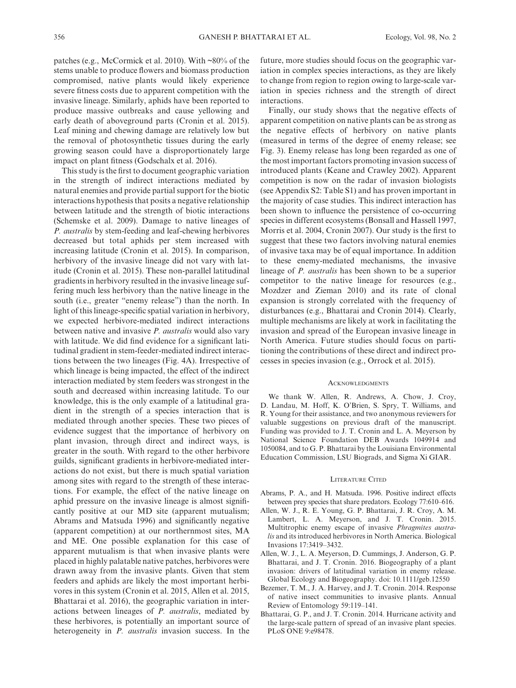patches (e.g., McCormick et al. 2010). With ~80% of the stems unable to produce flowers and biomass production compromised, native plants would likely experience severe fitness costs due to apparent competition with the invasive lineage. Similarly, aphids have been reported to produce massive outbreaks and cause yellowing and early death of aboveground parts (Cronin et al. 2015). Leaf mining and chewing damage are relatively low but the removal of photosynthetic tissues during the early growing season could have a disproportionately large impact on plant fitness (Godschalx et al. 2016).

This study is the first to document geographic variation in the strength of indirect interactions mediated by natural enemies and provide partial support for the biotic interactions hypothesis that posits a negative relationship between latitude and the strength of biotic interactions (Schemske et al. 2009). Damage to native lineages of *P. australis* by stem-feeding and leaf-chewing herbivores decreased but total aphids per stem increased with increasing latitude (Cronin et al. 2015). In comparison, herbivory of the invasive lineage did not vary with latitude (Cronin et al. 2015). These non-parallel latitudinal gradients in herbivory resulted in the invasive lineage suffering much less herbivory than the native lineage in the south (i.e., greater "enemy release") than the north. In light of this lineage-specific spatial variation in herbivory, we expected herbivore-mediated indirect interactions between native and invasive *P. australis* would also vary with latitude. We did find evidence for a significant latitudinal gradient in stem-feeder-mediated indirect interactions between the two lineages (Fig. 4A). Irrespective of which lineage is being impacted, the effect of the indirect interaction mediated by stem feeders was strongest in the south and decreased within increasing latitude. To our knowledge, this is the only example of a latitudinal gradient in the strength of a species interaction that is mediated through another species. These two pieces of evidence suggest that the importance of herbivory on plant invasion, through direct and indirect ways, is greater in the south. With regard to the other herbivore guilds, significant gradients in herbivore-mediated interactions do not exist, but there is much spatial variation among sites with regard to the strength of these interactions. For example, the effect of the native lineage on aphid pressure on the invasive lineage is almost significantly positive at our MD site (apparent mutualism; Abrams and Matsuda 1996) and significantly negative (apparent competition) at our northernmost sites, MA and ME. One possible explanation for this case of apparent mutualism is that when invasive plants were placed in highly palatable native patches, herbivores were drawn away from the invasive plants. Given that stem feeders and aphids are likely the most important herbivores in this system (Cronin et al. 2015, Allen et al. 2015, Bhattarai et al. 2016), the geographic variation in interactions between lineages of *P. australis*, mediated by these herbivores, is potentially an important source of heterogeneity in *P. australis* invasion success. In the

future, more studies should focus on the geographic variation in complex species interactions, as they are likely to change from region to region owing to large-scale variation in species richness and the strength of direct interactions.

Finally, our study shows that the negative effects of apparent competition on native plants can be as strong as the negative effects of herbivory on native plants (measured in terms of the degree of enemy release; see Fig. 3). Enemy release has long been regarded as one of the most important factors promoting invasion success of introduced plants (Keane and Crawley 2002). Apparent competition is now on the radar of invasion biologists (see Appendix S2: Table S1) and has proven important in the majority of case studies. This indirect interaction has been shown to influence the persistence of co-occurring species in different ecosystems (Bonsall and Hassell 1997, Morris et al. 2004, Cronin 2007). Our study is the first to suggest that these two factors involving natural enemies of invasive taxa may be of equal importance. In addition to these enemy-mediated mechanisms, the invasive lineage of *P. australis* has been shown to be a superior competitor to the native lineage for resources (e.g., Mozdzer and Zieman 2010) and its rate of clonal expansion is strongly correlated with the frequency of disturbances (e.g., Bhattarai and Cronin 2014). Clearly, multiple mechanisms are likely at work in facilitating the invasion and spread of the European invasive lineage in North America. Future studies should focus on partitioning the contributions of these direct and indirect processes in species invasion (e.g., Orrock et al. 2015).

### **ACKNOWLEDGMENTS**

We thank W. Allen, R. Andrews, A. Chow, J. Croy, D. Landau, M. Hoff, K. O'Brien, S. Spry, T. Williams, and R. Young for their assistance, and two anonymous reviewers for valuable suggestions on previous draft of the manuscript. Funding was provided to J. T. Cronin and L. A. Meyerson by National Science Foundation DEB Awards 1049914 and 1050084, and to G. P. Bhattarai by the Louisiana Environmental Education Commission, LSU Biograds, and Sigma Xi GIAR.

#### LITERATURE CITED

- Abrams, P. A., and H. Matsuda. 1996. Positive indirect effects between prey species that share predators. Ecology 77:610–616.
- Allen, W. J., R. E. Young, G. P. Bhattarai, J. R. Croy, A. M. Lambert, L. A. Meyerson, and J. T. Cronin. 2015. Multitrophic enemy escape of invasive *Phragmites australis* and its introduced herbivores in North America. Biological Invasions 17:3419–3432.
- Allen, W. J., L. A. Meyerson, D. Cummings, J. Anderson, G. P. Bhattarai, and J. T. Cronin. 2016. Biogeography of a plant invasion: drivers of latitudinal variation in enemy release. Global Ecology and Biogeography. doi: [10.1111/geb.12550](https://doi.org/10.1111/geb.12550)
- Bezemer, T. M., J. A. Harvey, and J. T. Cronin. 2014. Response of native insect communities to invasive plants. Annual Review of Entomology 59:119–141.
- Bhattarai, G. P., and J. T. Cronin. 2014. Hurricane activity and the large-scale pattern of spread of an invasive plant species. PLoS ONE 9:e98478.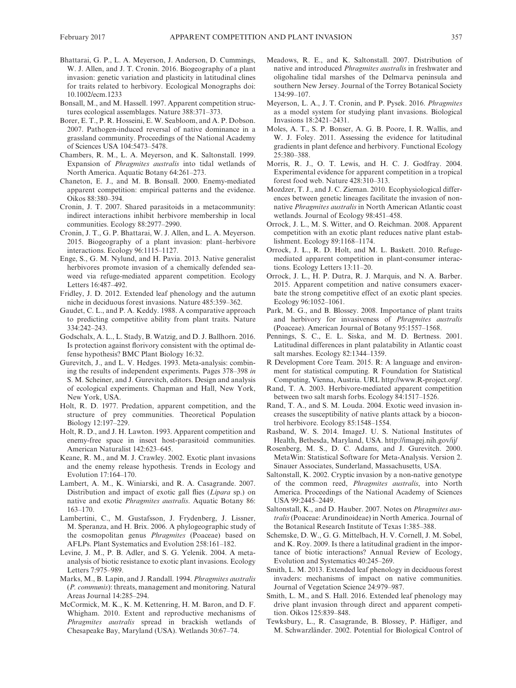- Bhattarai, G. P., L. A. Meyerson, J. Anderson, D. Cummings, W. J. Allen, and J. T. Cronin. 2016. Biogeography of a plant invasion: genetic variation and plasticity in latitudinal clines for traits related to herbivory. Ecological Monographs doi: [10.1002/ecm.1233](https://doi.org/10.1002/ecm.1233)
- Bonsall, M., and M. Hassell. 1997. Apparent competition structures ecological assemblages. Nature 388:371–373.
- Borer, E. T., P. R. Hosseini, E. W. Seabloom, and A. P. Dobson. 2007. Pathogen-induced reversal of native dominance in a grassland community. Proceedings of the National Academy of Sciences USA 104:5473–5478.
- Chambers, R. M., L. A. Meyerson, and K. Saltonstall. 1999. Expansion of *Phragmites australis* into tidal wetlands of North America. Aquatic Botany 64:261–273.
- Chaneton, E. J., and M. B. Bonsall. 2000. Enemy-mediated apparent competition: empirical patterns and the evidence. Oikos 88:380–394.
- Cronin, J. T. 2007. Shared parasitoids in a metacommunity: indirect interactions inhibit herbivore membership in local communities. Ecology 88:2977–2990.
- Cronin, J. T., G. P. Bhattarai, W. J. Allen, and L. A. Meyerson. 2015. Biogeography of a plant invasion: plant–herbivore interactions. Ecology 96:1115–1127.
- Enge, S., G. M. Nylund, and H. Pavia. 2013. Native generalist herbivores promote invasion of a chemically defended seaweed via refuge-mediated apparent competition. Ecology Letters 16:487–492.
- Fridley, J. D. 2012. Extended leaf phenology and the autumn niche in deciduous forest invasions. Nature 485:359–362.
- Gaudet, C. L., and P. A. Keddy. 1988. A comparative approach to predicting competitive ability from plant traits. Nature 334:242–243.
- Godschalx, A. L., L. Stady, B. Watzig, and D. J. Ballhorn. 2016. Is protection against florivory consistent with the optimal defense hypothesis? BMC Plant Biology 16:32.
- Gurevitch, J., and L. V. Hedges. 1993. Meta-analysis: combining the results of independent experiments. Pages 378–398 *in* S. M. Scheiner, and J. Gurevitch, editors. Design and analysis of ecological experiments. Chapman and Hall, New York, New York, USA.
- Holt, R. D. 1977. Predation, apparent competition, and the structure of prey communities. Theoretical Population Biology 12:197–229.
- Holt, R. D., and J. H. Lawton. 1993. Apparent competition and enemy-free space in insect host-parasitoid communities. American Naturalist 142:623–645.
- Keane, R. M., and M. J. Crawley. 2002. Exotic plant invasions and the enemy release hypothesis. Trends in Ecology and Evolution 17:164–170.
- Lambert, A. M., K. Winiarski, and R. A. Casagrande. 2007. Distribution and impact of exotic gall flies (*Lipara* sp.) on native and exotic *Phragmites australis*. Aquatic Botany 86: 163–170.
- Lambertini, C., M. Gustafsson, J. Frydenberg, J. Lissner, M. Speranza, and H. Brix. 2006. A phylogeographic study of the cosmopolitan genus *Phragmites* (Poaceae) based on AFLPs. Plant Systematics and Evolution 258:161–182.
- Levine, J. M., P. B. Adler, and S. G. Yelenik. 2004. A metaanalysis of biotic resistance to exotic plant invasions. Ecology Letters 7:975–989.
- Marks, M., B. Lapin, and J. Randall. 1994. *Phragmites australis* (*P. communis*): threats, management and monitoring. Natural Areas Journal 14:285–294.
- McCormick, M. K., K. M. Kettenring, H. M. Baron, and D. F. Whigham. 2010. Extent and reproductive mechanisms of *Phragmites australis* spread in brackish wetlands of Chesapeake Bay, Maryland (USA). Wetlands 30:67–74.
- Meadows, R. E., and K. Saltonstall. 2007. Distribution of native and introduced *Phragmites australis* in freshwater and oligohaline tidal marshes of the Delmarva peninsula and southern New Jersey. Journal of the Torrey Botanical Society 134:99–107.
- Meyerson, L. A., J. T. Cronin, and P. Pysek. 2016. *Phragmites* as a model system for studying plant invasions. Biological Invasions 18:2421–2431.
- Moles, A. T., S. P. Bonser, A. G. B. Poore, I. R. Wallis, and W. J. Foley. 2011. Assessing the evidence for latitudinal gradients in plant defence and herbivory. Functional Ecology 25:380–388.
- Morris, R. J., O. T. Lewis, and H. C. J. Godfray. 2004. Experimental evidence for apparent competition in a tropical forest food web. Nature 428:310–313.
- Mozdzer, T. J., and J. C. Zieman. 2010. Ecophysiological differences between genetic lineages facilitate the invasion of nonnative *Phragmites australis* in North American Atlantic coast wetlands. Journal of Ecology 98:451–458.
- Orrock, J. L., M. S. Witter, and O. Reichman. 2008. Apparent competition with an exotic plant reduces native plant establishment. Ecology 89:1168–1174.
- Orrock, J. L., R. D. Holt, and M. L. Baskett. 2010. Refugemediated apparent competition in plant-consumer interactions. Ecology Letters 13:11–20.
- Orrock, J. L., H. P. Dutra, R. J. Marquis, and N. A. Barber. 2015. Apparent competition and native consumers exacerbate the strong competitive effect of an exotic plant species. Ecology 96:1052–1061.
- Park, M. G., and B. Blossey. 2008. Importance of plant traits and herbivory for invasiveness of *Phragmites australis* (Poaceae). American Journal of Botany 95:1557–1568.
- Pennings, S. C., E. L. Siska, and M. D. Bertness. 2001. Latitudinal differences in plant palatability in Atlantic coast salt marshes. Ecology 82:1344–1359.
- R Development Core Team. 2015. R: A language and environment for statistical computing. R Foundation for Statistical Computing, Vienna, Austria. URL [http://www.R-project.org/.](http://www.R-project.org/)
- Rand, T. A. 2003. Herbivore-mediated apparent competition between two salt marsh forbs. Ecology 84:1517–1526.
- Rand, T. A., and S. M. Louda. 2004. Exotic weed invasion increases the susceptibility of native plants attack by a biocontrol herbivore. Ecology 85:1548–1554.
- Rasband, W. S. 2014. ImageJ. U. S. National Institutes of Health, Bethesda, Maryland, USA. <http://imagej.nih.gov/ij/>
- Rosenberg, M. S., D. C. Adams, and J. Gurevitch. 2000. MetaWin: Statistical Software for Meta-Analysis. Version 2. Sinauer Associates, Sunderland, Massachusetts, USA.
- Saltonstall, K. 2002. Cryptic invasion by a non-native genotype of the common reed, *Phragmites australis*, into North America. Proceedings of the National Academy of Sciences USA 99:2445–2449.
- Saltonstall, K., and D. Hauber. 2007. Notes on *Phragmites australis* (Poaceae: Arundinoideae) in North America. Journal of the Botanical Research Institute of Texas 1:385–388.
- Schemske, D. W., G. G. Mittelbach, H. V. Cornell, J. M. Sobel, and K. Roy. 2009. Is there a latitudinal gradient in the importance of biotic interactions? Annual Review of Ecology, Evolution and Systematics 40:245–269.
- Smith, L. M. 2013. Extended leaf phenology in deciduous forest invaders: mechanisms of impact on native communities. Journal of Vegetation Science 24:979–987.
- Smith, L. M., and S. Hall. 2016. Extended leaf phenology may drive plant invasion through direct and apparent competition. Oikos 125:839–848.
- Tewksbury, L., R. Casagrande, B. Blossey, P. Häfliger, and M. Schwarzländer. 2002. Potential for Biological Control of